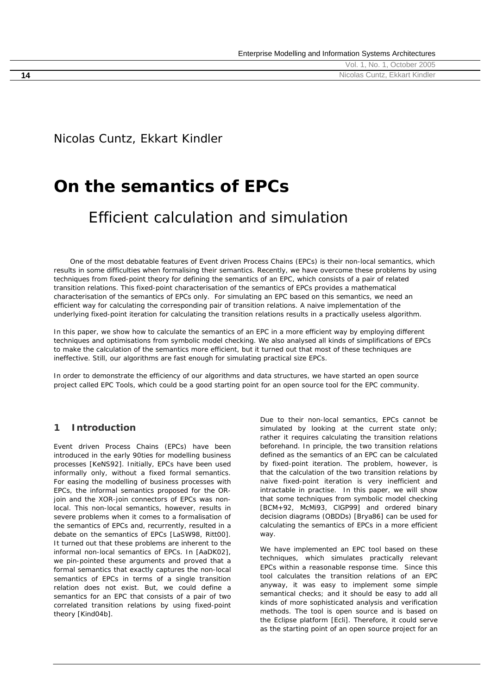|    | , No. 1, October 2005<br>Vol. |
|----|-------------------------------|
| 14 | Nicolas Cuntz, Ekkart Kindler |

Nicolas Cuntz, Ekkart Kindler

# **On the semantics of EPCs**

# Efficient calculation and simulation

 *One of the most debatable features of Event driven Process Chains (EPCs) is their non-local semantics, which*  results in some difficulties when formalising their semantics. Recently, we have overcome these problems by using *techniques from fixed-point theory for defining the semantics of an EPC, which consists of a pair of related transition relations. This fixed-point characterisation of the semantics of EPCs provides a mathematical characterisation of the semantics of EPCs only. For simulating an EPC based on this semantics, we need an efficient way for calculating the corresponding pair of transition relations. A naive implementation of the underlying fixed-point iteration for calculating the transition relations results in a practically useless algorithm.* 

In this paper, we show how to calculate the semantics of an EPC in a more efficient way by employing different *techniques and optimisations from symbolic model checking. We also analysed all kinds of simplifications of EPCs*  to make the calculation of the semantics more efficient, but it turned out that most of these techniques are *ineffective. Still, our algorithms are fast enough for simulating practical size EPCs.* 

*In order to demonstrate the efficiency of our algorithms and data structures, we have started an open source project called EPC Tools, which could be a good starting point for an open source tool for the EPC community.* 

## **1 Introduction**

*Event driven Process Chains* (*EPCs*) have been introduced in the early 90ties for modelling business processes [KeNS92]. Initially, EPCs have been used informally only, without a fixed formal semantics. For easing the modelling of business processes with EPCs, the informal semantics proposed for the ORjoin and the XOR-join connectors of EPCs was *nonlocal*. This non-local semantics, however, results in severe problems when it comes to a formalisation of the semantics of EPCs and, recurrently, resulted in a debate on the semantics of EPCs [LaSW98, Ritt00]. It turned out that these problems are inherent to the informal non-local semantics of EPCs. In [AaDK02], we pin-pointed these arguments and proved that a formal semantics that exactly captures the non-local semantics of EPCs in terms of a single transition relation does not exist. But, we could define a semantics for an EPC that consists of a pair of two correlated transition relations by using fixed-point theory [Kind04b].

Due to their non-local semantics, EPCs cannot be simulated by looking at the current state only; rather it requires calculating the transition relations beforehand. In principle, the two transition relations defined as the semantics of an EPC can be calculated by fixed-point iteration. The problem, however, is that the calculation of the two transition relations by naive fixed-point iteration is very inefficient and intractable in practise. In this paper, we will show that some techniques from *symbolic model checking* [BCM+92, McMi93, ClGP99] and *ordered binary decision diagrams* (OBDDs) [Brya86] can be used for calculating the semantics of EPCs in a more efficient way.

We have implemented an EPC tool based on these techniques, which simulates practically relevant EPCs within a reasonable response time. Since this tool calculates the transition relations of an EPC anyway, it was easy to implement some simple semantical checks; and it should be easy to add all kinds of more sophisticated analysis and verification methods. The tool is open source and is based on the Eclipse platform [Ecli]. Therefore, it could serve as the starting point of an open source project for an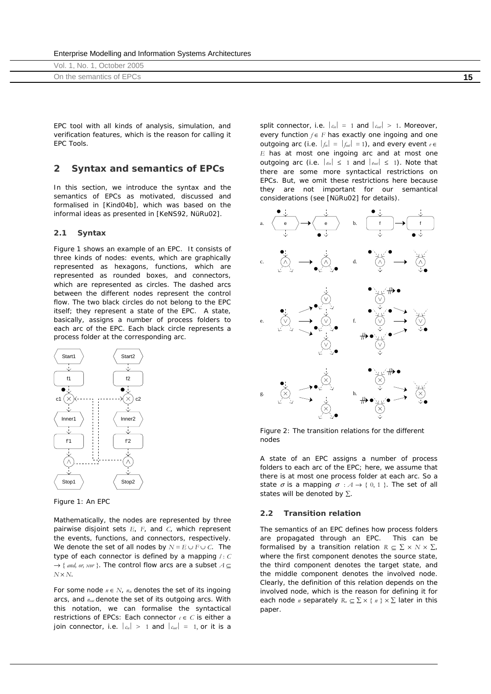|  |  | Enterprise Modelling and Information Systems Architectures |
|--|--|------------------------------------------------------------|
|  |  |                                                            |

| Vol. 1, No. 1, October 2005 |  |
|-----------------------------|--|
| On the semantics of EPCs    |  |

EPC tool with all kinds of analysis, simulation, and verification features, which is the reason for calling it *EPC Tools*.

#### **2 Syntax and semantics of EPCs**

In this section, we introduce the syntax and the semantics of EPCs as motivated, discussed and formalised in [Kind04b], which was based on the informal ideas as presented in [KeNS92, NüRu02].

#### **2.1 Syntax**

Figure 1 shows an example of an EPC. It consists of three kinds of *nodes*: *events*, which are graphically represented as hexagons, *functions*, which are represented as rounded boxes, and *connectors*, which are represented as circles. The dashed arcs between the different nodes represent the *control flow*. The two black circles do not belong to the EPC itself; they represent a *state* of the EPC. A state, basically, assigns a number of *process folders* to each arc of the EPC. Each black circle represents a process folder at the corresponding arc.



*Figure 1: An EPC* 

Mathematically, the nodes are represented by three pairwise disjoint sets *E*, *F*, and *C*, which represent the events, functions, and connectors, respectively. We denote the set of all nodes by  $N = E \cup F \cup C$ . The type of each connector is defined by a mapping  $l: C$ → *{ and, or, xor }*. The control flow arcs are a subset *A* ⊆ *N* × *N*.

For some node *n* ∈ *N*, *nin* denotes the set of its ingoing arcs, and *nout* denote the set of its outgoing arcs. With this notation, we can formalise the syntactical restrictions of EPCs: Each connector *c* ∈ *C* is either a *join connector*, i.e.  $|c_{in}| > 1$  and  $|c_{out}| = 1$ , or it is a *split connector*, i.e.  $|c_{in}| = 1$  and  $|c_{out}| > 1$ . Moreover, every function *f* ∈ *F* has exactly one ingoing and one outgoing arc (i.e.  $|f_{in}| = |f_{out}| = 1$ ), and every event  $e \in$ *E* has at most one ingoing arc and at most one outgoing arc (i.e.  $|e_{in}| \leq 1$  and  $|e_{out}| \leq 1$ ). Note that there are some more syntactical restrictions on EPCs. But, we omit these restrictions here because they are not important for our semantical considerations (see [NüRu02] for details).



*Figure 2: The transition relations for the different nodes* 

A *state* of an EPC assigns a number of *process folders* to each arc of the EPC; here, we assume that there is at most one process folder at each arc. So a state  $\sigma$  is a mapping  $\sigma : A \rightarrow \{0, 1\}$ . The set of all states will be denoted by  $\Sigma$ .

#### **2.2 Transition relation**

The semantics of an EPC defines how process folders are propagated through an EPC. This can be formalised by a *transition relation*  $R \subseteq \sum x \land x \sum$ , where the first component denotes the source state, the third component denotes the target state, and the middle component denotes the involved node. Clearly, the definition of this relation depends on the involved node, which is the reason for defining it for each node *n* separately  $R_n \subseteq \sum x \{ n \} \times \sum$  later in this paper.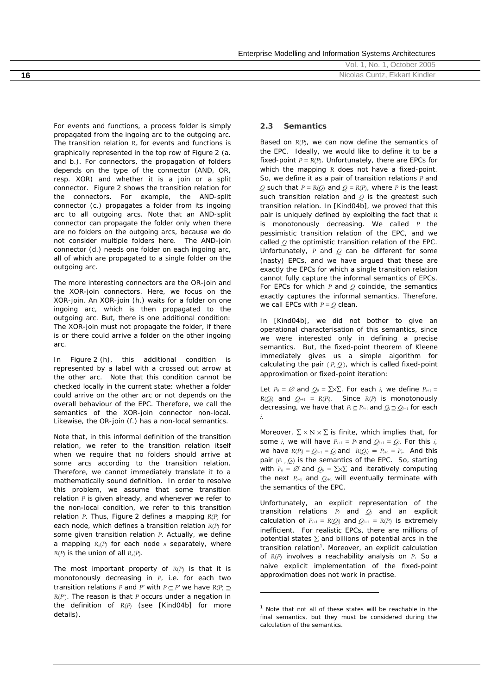Enterprise Modelling and Information Systems Architectures

| ' Ictober<br>Nο<br>VOI.<br>uwuti                | 2005 |
|-------------------------------------------------|------|
| <b>Ekkart Kindler</b><br>Nicolas<br>16<br>Cuntz |      |

For events and functions, a process folder is simply propagated from the ingoing arc to the outgoing arc. The transition relation  $R_n$  for events and functions is graphically represented in the top row of Figure 2 (a. and b.). For connectors, the propagation of folders depends on the type of the connector (*AND*, *OR*, resp. *XOR*) and whether it is a join or a split connector. Figure 2 shows the transition relation for the connectors. For example, the AND-split connector (c.) propagates a folder from its ingoing arc to all outgoing arcs. Note that an AND-split connector can propagate the folder only when there are no folders on the outgoing arcs, because we do not consider multiple folders here. The AND-join connector (d.) needs one folder on each ingoing arc, all of which are propagated to a single folder on the outgoing arc.

The more interesting connectors are the OR-join and the XOR-join connectors. Here, we focus on the XOR-join. An XOR-join (h.) waits for a folder on one ingoing arc, which is then propagated to the outgoing arc. But, there is one additional condition: The XOR-join must not propagate the folder, if there is or there could arrive a folder on the other ingoing arc.

In Figure 2 (h), this additional condition is represented by a label with a crossed out arrow at the other arc. Note that this condition cannot be checked locally in the current state: whether a folder could arrive on the other arc or not depends on the overall behaviour of the EPC. Therefore, we call the semantics of the XOR-join connector *non-local*. Likewise, the OR-join (f.) has a non-local semantics.

Note that, in this informal definition of the *transition relation*, we refer to the transition relation itself when we require that no folders should arrive at some arcs according to the transition relation. Therefore, we cannot immediately translate it to a mathematically sound definition. In order to resolve this problem, we assume that some transition relation *P* is given already, and whenever we refer to the non-local condition, we refer to this transition relation *P*. Thus, Figure 2 defines a mapping *R*(*P*) for each node, which defines a transition relation *R*(*P*) for some given transition relation *P*. Actually, we define a mapping *Rn*(*P*) for each node *n* separately, where  $R(P)$  is the union of all  $R_n(P)$ .

The most important property of *R*(*P*) is that it is monotonously decreasing in *P*, i.e. for each two transition relations *P* and *P'* with  $P \subseteq P'$  we have  $R(P) \supseteq$ *R*(*P'*). The reason is that *P* occurs under a negation in the definition of *R*(*P*) (see [Kind04b] for more details).

#### **2.3 Semantics**

Based on *R*(*P*), we can now define the semantics of the EPC. Ideally, we would like to define it to be a fixed-point  $P = R(P)$ . Unfortunately, there are EPCs for which the mapping *R* does not have a fixed-point. So, we define it as a pair of transition relations *P* and *Q* such that  $P = R(Q)$  and  $Q = R(P)$ , where *P* is the least such transition relation and *Q* is the greatest such transition relation. In [Kind04b], we proved that this pair is uniquely defined by exploiting the fact that *R* is monotonously decreasing. We called *P* the *pessimistic transition relation* of the EPC, and we called *Q* the *optimistic transition relation* of the EPC. Unfortunately, *P* and *Q* can be different for some (nasty) EPCs, and we have argued that these are exactly the EPCs for which a single transition relation cannot fully capture the informal semantics of EPCs. For EPCs for which *P* and *Q* coincide, the semantics exactly captures the informal semantics. Therefore, we call EPCs with *P = Q clean*.

In [Kind04b], we did not bother to give an operational characterisation of this semantics, since we were interested only in defining a precise semantics. But, the fixed-point theorem of Kleene immediately gives us a simple algorithm for calculating the pair  $(P, Q)$ , which is called fixed-point approximation or fixed-point iteration:

Let  $P_0 = \emptyset$  and  $Q_0 = \sum \sum$ . For each *i*, we define  $P_{i+1} =$  $R(O_i)$  and  $O_{i+1} = R(P_i)$ . Since  $R(P_i)$  is monotonously decreasing, we have that  $P_i \subseteq P_{i+1}$  and  $Q_i \supseteq Q_{i+1}$  for each *i*.

Moreover,  $\Sigma \times N \times \Sigma$  is finite, which implies that, for some *i*, we will have  $P_{i+1} = P_i$  and  $Q_{i+1} = Q_i$ . For this *i*, we have  $R(P_i) = Q_{i+1} = Q_i$  and  $R(Q_i) = P_{i+1} = P_i$ . And this pair (*Pi* , *Qi*) is the semantics of the EPC. So, starting with  $P_0 = \emptyset$  and  $Q_0 = \sum \sum$  and iteratively computing the next  $P_{i+1}$  and  $Q_{i+1}$  will eventually terminate with the semantics of the EPC.

Unfortunately, an explicit representation of the transition relations *Pi* and *Qi* and an explicit calculation of  $P_{i+1} = R(Q_i)$  and  $Q_{i+1} = R(P_i)$  is extremely inefficient. For realistic EPCs, there are millions of potential states  $\Sigma$  and billions of potential arcs in the transition relation<sup>1</sup>. Moreover, an explicit calculation of *R*(*P*) involves a reachability analysis on *P*. So a naive explicit implementation of the fixed-point approximation does not work in practise.

j

 $1$  Note that not all of these states will be reachable in the final semantics, but they must be considered during the calculation of the semantics.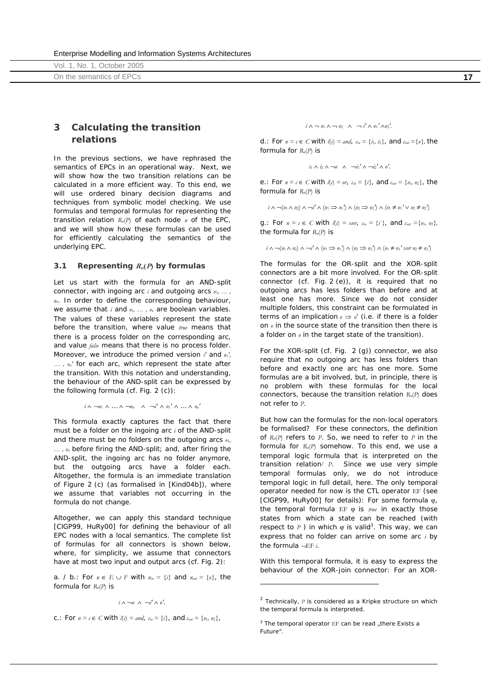Vol. 1, No. 1, October 2005 On the semantics of EPCs **17**

## **3 Calculating the transition relations**

In the previous sections, we have rephrased the semantics of EPCs in an operational way. Next, we will show how the two transition relations can be calculated in a more efficient way. To this end, we will use ordered binary decision diagrams and techniques from symbolic model checking. We use formulas and temporal formulas for representing the transition relation  $R_n(P)$  of each node  $n$  of the EPC, and we will show how these formulas can be used for efficiently calculating the semantics of the underlying EPC.

#### **3.1 Representing**  $R_n(P)$  **by formulas**

Let us start with the formula for an AND-split connector, with ingoing arc *i* and outgoing arcs *o*1*, … , on*. In order to define the corresponding behaviour, we assume that *i* and  $o_1$ , ...,  $o_n$  are boolean variables. The values of these variables represent the state before the transition, where value *true* means that there is a process folder on the corresponding arc, and value *false* means that there is no process folder. Moreover, we introduce the primed version *i'* and *o*1*', … , on'* for each arc, which represent the state after the transition. With this notation and understanding, the behaviour of the AND-split can be expressed by the following formula (cf. Fig. 2 (c)):

$$
i \wedge \neg o_1 \wedge \ldots \wedge \neg o_n \wedge \neg i' \wedge o_1' \wedge \ldots \wedge o_n'
$$

This formula exactly captures the fact that there must be a folder on the ingoing arc *i* of the AND-split and there must be no folders on the outgoing arcs *o*1*, … , on* before firing the AND-split; and, after firing the AND-split, the ingoing arc has no folder anymore, but the outgoing arcs have a folder each. Altogether, the formula is an immediate translation of Figure 2 (c) (as formalised in [Kind04b]), where we assume that variables not occurring in the formula do not change.

Altogether, we can apply this standard technique [ClGP99, HuRy00] for defining the behaviour of all EPC nodes with a local semantics. The complete list of formulas for all connectors is shown below, where, for simplicity, we assume that connectors have at most two input and output arcs (cf. Fig. 2):

a. / b.: For  $n \in E \cup F$  with  $n_{in} = \{i\}$  and  $n_{out} = \{o\}$ , the formula for *Rn*(*P*) is

$$
i \wedge \neg o \wedge \neg i' \wedge o'.
$$

*c.*: For *n* = *c* ∈ *C* with  $l(c) = and$ ,  $c_{in} = {i}$ , and  $c_{out} = {o_1, o_2}$ ,

 $i \wedge \neg v_1 \wedge \neg v_2 \wedge \neg i' \wedge v_1' \wedge v_2'.$ 

d.: For  $n = c \in C$  with  $l(c) = and$ ,  $c_{in} = \{i_1, i_2\}$ , and  $c_{out} = \{o\}$ , the formula for *Rn*(*P*) is

$$
i_1 \wedge i_2 \wedge \neg o \quad \wedge \quad \neg i_1' \wedge \neg i_2' \wedge o'.
$$

e.: For *n* = *c* ∈ *C* with  $I(c) = or$ ,  $c_{in} = {i}$ , and  $c_{out} = {o_1, o_2}$ , the formula for *Rn*(*P*) is

*i* ∧  $\neg$ ( $o_1$  ∧  $o_2$ ) ∧  $\neg i'$  ∧ ( $o_1$   $\Rightarrow$   $o_1'$ ) ∧ ( $o_2$   $\Rightarrow$   $o_2'$ ) ∧ ( $o_1 \neq o_1' \vee o_2 \neq o_2'$ )

q.: For  $n = c \in C$  with  $l(c) = x \circ r$ ,  $c_{in} = \{i\}$ , and  $c_{out} = \{o_1, o_2\}$ , the formula for *Rn*(*P*) is

$$
i \wedge \neg (o_1 \wedge o_2) \wedge \neg i' \wedge (o_1 \implies o_1') \wedge (o_2 \implies o_2') \wedge (o_1 \neq o_1' \times \neg o_2 \neq o_2')
$$

The formulas for the OR-split and the XOR-split connectors are a bit more involved. For the OR-split connector (cf. Fig. 2 (e)), it is required that no outgoing arcs has less folders than before and at least one has more. Since we do not consider multiple folders, this constraint can be formulated in terms of an implication  $\rho \Rightarrow \rho'$  (i.e. if there is a folder on *o* in the source state of the transition then there is a folder on *o* in the target state of the transition).

For the XOR-split (cf. Fig. 2 (g)) connector, we also require that no outgoing arc has less folders than before and exactly one arc has one more. Some formulas are a bit involved, but, in principle, there is no problem with these formulas for the local connectors, because the transition relation *Rn*(*P*) does not refer to *P*.

But how can the formulas for the non-local operators be formalised? For these connectors, the definition of *Rn*(*P*) refers to *P*. So, we need to refer to *P* in the formula for  $R_n(P)$  somehow. To this end, we use a temporal logic formula that is interpreted on the transition relation*<sup>2</sup> P*. Since we use very simple temporal formulas only, we do not introduce temporal logic in full detail, here. The only temporal operator needed for now is the CTL operator EF (see [ClGP99, HuRy00] for details): For some formula ϕ, the temporal formula EF φ is *true* in exactly those states from which a state can be reached (with respect to  $P$  ) in which  $\varphi$  is valid<sup>3</sup>. This way, we can express that no folder can arrive on some arc *i* by the formula ¬EF *i*.

With this temporal formula, it is easy to express the behaviour of the XOR-join connector: For an XOR-

l

<sup>2</sup> Technically, *P* is considered as a Kripke structure on which the temporal formula is interpreted.

 $3$  The temporal operator EF can be read "there Exists a Future".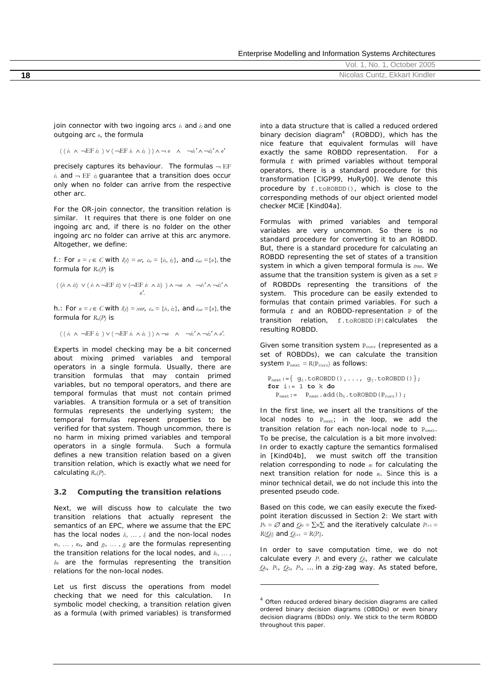| Enterprise Modelling and Information Systems Architectures |  |  |
|------------------------------------------------------------|--|--|
|                                                            |  |  |

|    | 2005<br>Ctober<br>- Nic<br>$\sqrt{2}$<br>vы. |
|----|----------------------------------------------|
| 18 | Cuntz, Ekkart Kindler<br>Nicolas             |
|    |                                              |

join connector with two ingoing arcs  $i_1$  and  $i_2$  and one outgoing arc *o*, the formula

 $((i_1 \wedge \neg \text{EF } i_1) \vee (\neg \text{EF } i_1 \wedge i_2)) \wedge \neg \varrho \wedge \neg i_1' \wedge \neg i_2' \wedge \varrho'$ 

precisely captures its behaviour. The formulas  $\neg$  EF  $i_1$  and  $-$  EF  $i_2$  guarantee that a transition does occur only when no folder can arrive from the respective other arc.

For the OR-join connector, the transition relation is similar. It requires that there is one folder on one ingoing arc and, if there is no folder on the other ingoing arc no folder can arrive at this arc anymore. Altogether, we define:

f.: For *n* = *c* ∈ *C* with  $l(c) = or$ ,  $c_{in} = \{i_1, i_2\}$ , and  $c_{out} = \{o\}$ , the formula for *Rn*(*P*) is

( (*i*<sup>1</sup> ∧ *i*2) ∨ ( *i*<sup>1</sup> ∧ ¬EF *i*2) ∨ (¬EF *i*<sup>1</sup>∧ *i*2) ) ∧ ¬*o* ∧ ¬*i*1*'* ∧ ¬*i*2*'* ∧ *o'*.

h.: For *n* = *c* ∈ *C* with  $l(c) = x$ or,  $c_{in} = \{i_1, i_2\}$ , and  $c_{out} = \{o\}$ , the formula for *Rn*(*P*) is

 $(( i_1 ∧ \neg EF i_2 ) ∨ ( \neg EF i_1 ∧ i_2 ) ) ∧ ¬0 ∧ ¬i_1' ∧ ¬i_2' ∧ 0'.$ 

Experts in model checking may be a bit concerned about mixing primed variables and temporal operators in a single formula. Usually, there are transition formulas that may contain primed variables, but no temporal operators, and there are temporal formulas that must not contain primed variables. A transition formula or a set of transition formulas represents the underlying system; the temporal formulas represent properties to be verified for that system. Though uncommon, there is no harm in mixing primed variables and temporal operators in a single formula. Such a formula defines a new transition relation based on a given transition relation, which is exactly what we need for calculating  $R_n(P)$ .

#### **3.2 Computing the transition relations**

Next, we will discuss how to calculate the two transition relations that actually represent the semantics of an EPC, where we assume that the EPC has the local nodes  $l_1, \ldots, l_j$  and the non-local nodes *n*1*, … , nk*, and *g*1*, … , gj* are the formulas representing the transition relations for the local nodes, and  $h_1, \ldots, h_n$ *hk* are the formulas representing the transition relations for the non-local nodes.

Let us first discuss the operations from model checking that we need for this calculation. In symbolic model checking, a transition relation given as a formula (with primed variables) is transformed

into a data structure that is called a *reduced ordered binary decision diagram4* (ROBDD), which has the nice feature that equivalent formulas will have exactly the same ROBDD representation. For a formula  $f$  with primed variables without temporal operators, there is a standard procedure for this transformation [ClGP99, HuRy00]. We denote this procedure by f.toROBDD(), which is close to the corresponding methods of our object oriented model checker MCiE [Kind04a].

Formulas with primed variables and temporal variables are very uncommon. So there is no standard procedure for converting it to an ROBDD. But, there is a standard procedure for calculating an ROBDD representing the set of states of a transition system in which a given temporal formula is *true*. We assume that the transition system is given as a set P of ROBDDs representing the transitions of the system. This procedure can be easily extended to formulas that contain primed variables. For such a formula f and an ROBDD-representation P of the transition relation, f.toROBDD(P)calculates the resulting ROBDD.

Given some transition system P<sub>curr</sub> (represented as a set of ROBDDs), we can calculate the transition system  $P_{next} = R(P_{curr})$  as follows:

```
\mathtt{P_{next}}\mathbin{{:}\!=} \left\{\begin{array}{c} \mathtt{g}_1.\texttt{toROBDD}\left(\begin{array}{c} \right),\dots, \texttt{ g}_j.\texttt{toROBDD}\left(\begin{array}{c} \right)\end{array}\right\}; \end{array}for i:= 1 to k do
      P_{\text{next}}:= P_{\text{next}}.\text{add}(h_i.\text{toROBDD}(P_{\text{curr}}));
```
In the first line, we insert all the transitions of the local nodes to  $P_{next}$ ; in the loop, we add the transition relation for each non-local node to  $P<sub>next</sub>$ . To be precise, the calculation is a bit more involved: In order to exactly capture the semantics formalised in [Kind04b], we must switch off the transition relation corresponding to node *ni* for calculating the next transition relation for node *ni*. Since this is a minor technical detail, we do not include this into the presented pseudo code.

Based on this code, we can easily execute the fixedpoint iteration discussed in Section 2: We start with  $P_0 = \emptyset$  and  $Q_0 = \sum \times \sum$  and the iteratively calculate  $P_{i+1} =$  $R(Q_i)$  and  $Q_{i+1} = R(P_i)$ .

In order to save computation time, we do not calculate every *Pi* and every *Qi*, rather we calculate  $Q_0$ ,  $P_1$ ,  $Q_2$ ,  $P_3$ , ... in a zig-zag way. As stated before,

l

<sup>&</sup>lt;sup>4</sup> Often reduced ordered binary decision diagrams are called ordered binary decision diagrams (OBDDs) or even binary decision diagrams (BDDs) only. We stick to the term ROBDD throughout this paper.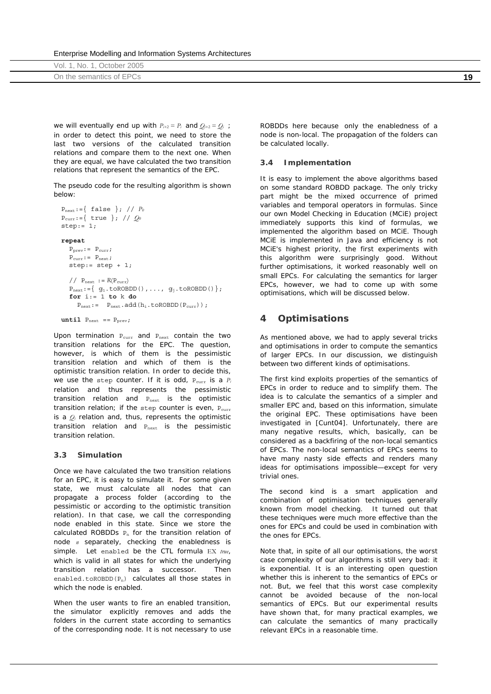|  |  |  | Enterprise Modelling and Information Systems Architectures |
|--|--|--|------------------------------------------------------------|
|  |  |  |                                                            |

| October 2005<br>Vol. 1, No. |           |
|-----------------------------|-----------|
| On the semantics of EPCs    | 1 C<br>ıc |

we will eventually end up with  $P_{i+2} = P_i$  and  $Q_{i+2} = Q_i$ ; in order to detect this point, we need to store the last two versions of the calculated transition relations and compare them to the next one. When they are equal, we have calculated the two transition relations that represent the semantics of the EPC.

The pseudo code for the resulting algorithm is shown below:

```
Pnext:={ false }; // P0
Pcurr:={ true }; // Q0
step:= 1; 
repeat 
   P_{\text{prev}}: = P_{\text{curr}};
   P_{\text{curr}}: = P_{\text{next}};
    step:= step + 1;
   // P_{\text{next}} := R(P_{\text{curr}})P_{next} := \{ g_1 \text{.toROBDD}() , \ldots, g_j \text{.toROBDD}() \}; for i:= 1 to k do
       P_{\text{next}}:= P_{\text{next}}.\text{add}(h_i.\text{toROBDD}(P_{\text{curr}}));
```

```
until P_{next} == P_{prev};
```
Upon termination P<sub>curr</sub> and P<sub>next</sub> contain the two transition relations for the EPC. The question, however, is which of them is the pessimistic transition relation and which of them is the optimistic transition relation. In order to decide this, we use the step counter. If it is odd,  $P_{curr}$  is a  $P_i$ relation and thus represents the pessimistic transition relation and Pnext is the optimistic transition relation; if the step counter is even, Pcurr is a *Qi* relation and, thus, represents the optimistic transition relation and Pnext is the pessimistic transition relation.

#### **3.3 Simulation**

Once we have calculated the two transition relations for an EPC, it is easy to simulate it. For some given state, we must calculate all nodes that can propagate a process folder (according to the pessimistic or according to the optimistic transition relation). In that case, we call the corresponding node *enabled* in this state. Since we store the calculated ROBDDs  $P_n$  for the transition relation of node *n* separately, checking the enabledness is simple. Let enabled be the CTL formula EX *true*, which is valid in all states for which the underlying transition relation has a successor. Then enabled.toROBDD( $P_n$ ) calculates all those states in which the node is enabled.

When the user wants to fire an enabled transition, the simulator explicitly removes and adds the folders in the current state according to semantics of the corresponding node. It is not necessary to use

ROBDDs here because only the enabledness of a node is non-local. The propagation of the folders can be calculated locally.

### **3.4 Implementation**

It is easy to implement the above algorithms based on some standard ROBDD package. The only tricky part might be the mixed occurrence of primed variables and temporal operators in formulas. Since our own *Model Checking in Education* (*MCiE*) project immediately supports this kind of formulas, we implemented the algorithm based on MCiE. Though MCiE is implemented in Java and efficiency is not MCiE's highest priority, the first experiments with this algorithm were surprisingly good. Without further optimisations, it worked reasonably well on small EPCs. For calculating the semantics for larger EPCs, however, we had to come up with some optimisations, which will be discussed below.

## **4 Optimisations**

As mentioned above, we had to apply several tricks and optimisations in order to compute the semantics of larger EPCs. In our discussion, we distinguish between two different kinds of optimisations.

The first kind exploits properties of the semantics of EPCs in order to reduce and to simplify them. The idea is to calculate the semantics of a simpler and smaller EPC and, based on this information, simulate the original EPC. These optimisations have been investigated in [Cunt04]. Unfortunately, there are many negative results, which, basically, can be considered as a backfiring of the non-local semantics of EPCs. The non-local semantics of EPCs seems to have many nasty side effects and renders many ideas for optimisations impossible—except for very trivial ones.

The second kind is a smart application and combination of optimisation techniques generally known from model checking. It turned out that these techniques were much more effective than the ones for EPCs and could be used in combination with the ones for EPCs.

Note that, in spite of all our optimisations, the worst case complexity of our algorithms is still very bad: it is exponential. It is an interesting open question whether this is inherent to the semantics of EPCs or not. But, we feel that this worst case complexity cannot be avoided because of the non-local semantics of EPCs. But our experimental results have shown that, for many practical examples, we can calculate the semantics of many practically relevant EPCs in a reasonable time.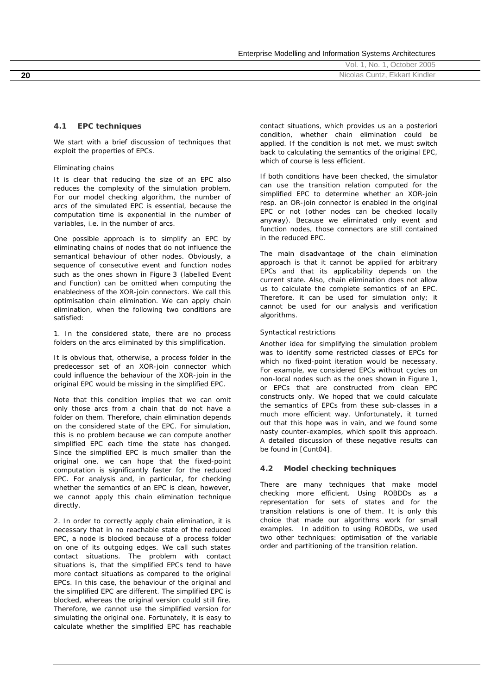Enterprise Modelling and Information Systems Architectures

|    | $\bigcap \overline{E}$<br>INO.<br>мuт.<br>ZUUJ     |
|----|----------------------------------------------------|
| 20 | $-$<br>Cuntz<br>Kindlei<br>'NICC<br>піа.<br>⊤KKca. |

### **4.1 EPC techniques**

We start with a brief discussion of techniques that exploit the properties of EPCs.

#### *Eliminating chains*

It is clear that reducing the size of an EPC also reduces the complexity of the simulation problem. For our model checking algorithm, the number of arcs of the simulated EPC is essential, because the computation time is exponential in the number of variables, i.e. in the number of arcs.

One possible approach is to simplify an EPC by eliminating chains of nodes that do not influence the semantical behaviour of other nodes. Obviously, a sequence of consecutive event and function nodes such as the ones shown in Figure 3 (labelled *Event* and *Function*) can be omitted when computing the enabledness of the XOR-join connectors. We call this optimisation *chain elimination*. We can apply chain elimination, when the following two conditions are satisfied:

1. In the considered state, there are no process folders on the arcs eliminated by this simplification.

It is obvious that, otherwise, a process folder in the predecessor set of an XOR-join connector which could influence the behaviour of the XOR-join in the original EPC would be missing in the simplified EPC.

Note that this condition implies that we can omit only those arcs from a chain that do not have a folder on them. Therefore, chain elimination depends on the considered state of the EPC. For simulation, this is no problem because we can compute another simplified EPC each time the state has changed. Since the simplified EPC is much smaller than the original one, we can hope that the fixed-point computation is significantly faster for the reduced EPC. For analysis and, in particular, for checking whether the semantics of an EPC is clean, however, we cannot apply this chain elimination technique directly.

2. In order to correctly apply chain elimination, it is necessary that in no reachable state of the reduced EPC, a node is blocked because of a process folder on one of its outgoing edges. We call such states *contact situations*. The problem with contact situations is, that the simplified EPCs tend to have more contact situations as compared to the original EPCs. In this case, the behaviour of the original and the simplified EPC are different. The simplified EPC is blocked, whereas the original version could still fire. Therefore, we cannot use the simplified version for simulating the original one. Fortunately, it is easy to calculate whether the simplified EPC has reachable contact situations, which provides us an a posteriori condition, whether chain elimination could be applied. If the condition is not met, we must switch back to calculating the semantics of the original EPC, which of course is less efficient.

If both conditions have been checked, the simulator can use the transition relation computed for the simplified EPC to determine whether an XOR-join resp. an OR-join connector is enabled in the original EPC or not (other nodes can be checked locally anyway). Because we eliminated only event and function nodes, those connectors are still contained in the reduced EPC.

The main disadvantage of the chain elimination approach is that it cannot be applied for arbitrary EPCs and that its applicability depends on the current state. Also, chain elimination does not allow us to calculate the complete semantics of an EPC. Therefore, it can be used for simulation only; it cannot be used for our analysis and verification algorithms.

#### *Syntactical restrictions*

Another idea for simplifying the simulation problem was to identify some restricted classes of EPCs for which no fixed-point iteration would be necessary. For example, we considered EPCs without cycles on non-local nodes such as the ones shown in Figure 1, or EPCs that are constructed from clean EPC constructs only. We hoped that we could calculate the semantics of EPCs from these sub-classes in a much more efficient way. Unfortunately, it turned out that this hope was in vain, and we found some nasty counter-examples, which spoilt this approach. A detailed discussion of these negative results can be found in [Cunt04].

#### **4.2 Model checking techniques**

There are many techniques that make model checking more efficient. Using ROBDDs as a representation for sets of states and for the transition relations is one of them. It is only this choice that made our algorithms work for small examples. In addition to using ROBDDs, we used two other techniques: optimisation of the variable order and partitioning of the transition relation.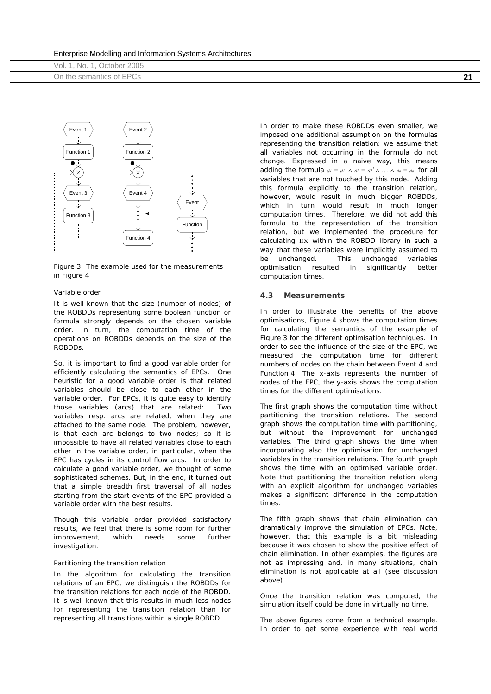|  |  |  | Enterprise Modelling and Information Systems Architectures |
|--|--|--|------------------------------------------------------------|
|  |  |  |                                                            |

| Vol. 1, No. 1, October 2005 |     |
|-----------------------------|-----|
| On the semantics of EPCs    | ົດຈ |



*Figure 3: The example used for the measurements in Figure 4*

#### *Variable order*

It is well-known that the size (number of nodes) of the ROBDDs representing some boolean function or formula strongly depends on the chosen variable order. In turn, the computation time of the operations on ROBDDs depends on the size of the ROBDDs.

So, it is important to find a good variable order for efficiently calculating the semantics of EPCs. One heuristic for a good variable order is that related variables should be close to each other in the variable order. For EPCs, it is quite easy to identify those variables (arcs) that are related: Two variables resp. arcs are related, when they are attached to the same node. The problem, however, is that each arc belongs to two nodes; so it is impossible to have all related variables close to each other in the variable order, in particular, when the EPC has cycles in its control flow arcs. In order to calculate a good variable order, we thought of some sophisticated schemes. But, in the end, it turned out that a simple breadth first traversal of all nodes starting from the start events of the EPC provided a variable order with the best results.

Though this variable order provided satisfactory results, we feel that there is some room for further improvement, which needs some further investigation.

#### *Partitioning the transition relation*

In the algorithm for calculating the transition relations of an EPC, we distinguish the ROBDDs for the transition relations for each node of the ROBDD. It is well known that this results in much less nodes for representing the transition relation than for representing all transitions within a single ROBDD.

In order to make these ROBDDs even smaller, we imposed one additional assumption on the formulas representing the transition relation: we assume that all variables not occurring in the formula do not change. Expressed in a naive way, this means adding the formula  $a_1 = a_1' \wedge a_2 = a_2' \wedge \dots \wedge a_n = a_n'$  for all variables that are not touched by this node. Adding this formula explicitly to the transition relation, however, would result in much bigger ROBDDs, which in turn would result in much longer computation times. Therefore, we did not add this formula to the representation of the transition relation, but we implemented the procedure for calculating EX within the ROBDD library in such a way that these variables were implicitly assumed to be unchanged. This *unchanged variables optimisation* resulted in significantly better computation times.

#### **4.3 Measurements**

In order to illustrate the benefits of the above optimisations, Figure 4 shows the computation times for calculating the semantics of the example of Figure 3 for the different optimisation techniques. In order to see the influence of the size of the EPC, we measured the computation time for different numbers of nodes on the chain between Event 4 and Function 4. The x-axis represents the number of nodes of the EPC, the y-axis shows the computation times for the different optimisations.

The first graph shows the computation time without partitioning the transition relations. The second graph shows the computation time with partitioning, but without the improvement for unchanged variables. The third graph shows the time when incorporating also the optimisation for unchanged variables in the transition relations. The fourth graph shows the time with an optimised variable order. Note that partitioning the transition relation along with an explicit algorithm for unchanged variables makes a significant difference in the computation times.

The fifth graph shows that chain elimination can dramatically improve the simulation of EPCs. Note, however, that this example is a bit misleading because it was chosen to show the positive effect of chain elimination. In other examples, the figures are not as impressing and, in many situations, chain elimination is not applicable at all (see discussion above).

Once the transition relation was computed, the simulation itself could be done in virtually no time.

The above figures come from a technical example. In order to get some experience with real world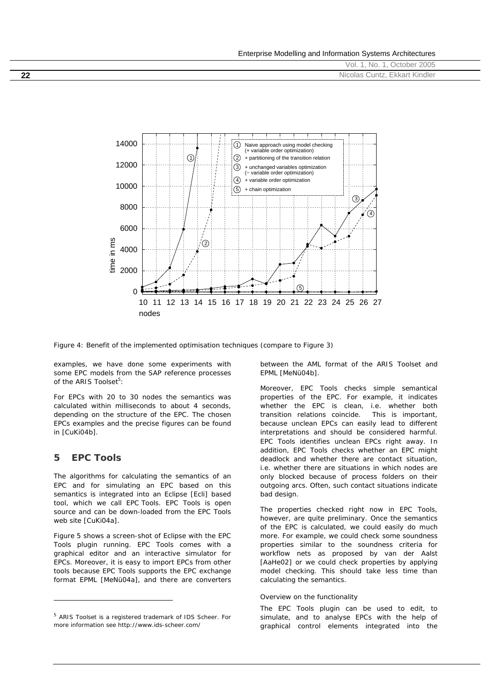|    | October 2005<br>No.<br>Vol.   |
|----|-------------------------------|
| 22 | Nicolas Cuntz, Ekkart Kindler |
|    |                               |



*Figure 4: Benefit of the implemented optimisation techniques (compare to Figure 3)* 

examples, we have done some experiments with some EPC models from the SAP reference processes of the ARIS Toolset<sup>5</sup>:

For EPCs with 20 to 30 nodes the semantics was calculated within milliseconds to about 4 seconds, depending on the structure of the EPC. The chosen EPCs examples and the precise figures can be found in [CuKi04b].

## **5 EPC Tools**

j

The algorithms for calculating the semantics of an EPC and for simulating an EPC based on this semantics is integrated into an Eclipse [Ecli] based tool, which we call *EPC Tools*. EPC Tools is open source and can be down-loaded from the EPC Tools web site [CuKi04a].

Figure 5 shows a screen-shot of Eclipse with the EPC Tools plugin running. EPC Tools comes with a graphical editor and an interactive simulator for EPCs. Moreover, it is easy to import EPCs from other tools because EPC Tools supports the EPC exchange format *EPML* [MeNü04a], and there are converters

between the AML format of the ARIS Toolset and EPML [MeNü04b].

Moreover, EPC Tools checks simple semantical properties of the EPC. For example, it indicates whether the EPC is clean, i.e. whether both transition relations coincide. This is important, because unclean EPCs can easily lead to different interpretations and should be considered harmful. EPC Tools identifies unclean EPCs right away. In addition, EPC Tools checks whether an EPC might deadlock and whether there are contact situation, i.e. whether there are situations in which nodes are only blocked because of process folders on their outgoing arcs. Often, such contact situations indicate bad design.

The properties checked right now in EPC Tools, however, are quite preliminary. Once the semantics of the EPC is calculated, we could easily do much more. For example, we could check some soundness properties similar to the soundness criteria for workflow nets as proposed by van der Aalst [AaHe02] or we could check properties by applying model checking. This should take less time than calculating the semantics.

#### *Overview on the functionality*

The EPC Tools plugin can be used to edit, to simulate, and to analyse EPCs with the help of graphical control elements integrated into the

<sup>5</sup> ARIS Toolset is a registered trademark of IDS Scheer. For more information see http://www.ids-scheer.com/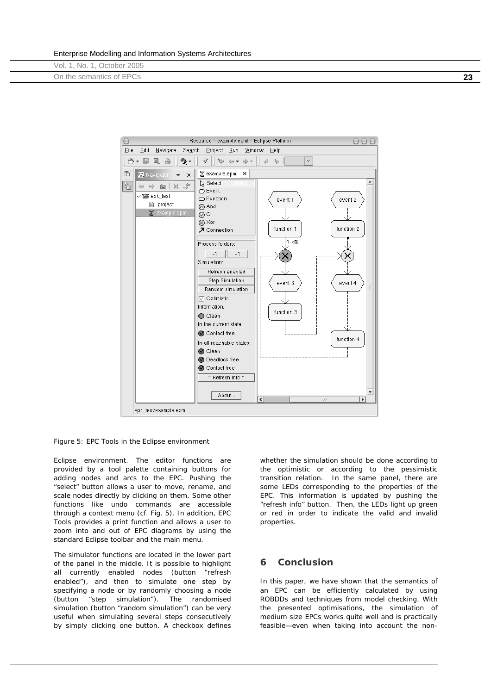|  | Enterprise Modelling and Information Systems Architectures |  |
|--|------------------------------------------------------------|--|
|  |                                                            |  |

| Vol. 1, No. 1, October 2005     |            |
|---------------------------------|------------|
| ่า the semantics of EPCs<br>.Jn | <u>ົດເ</u> |



*Figure 5: EPC Tools in the Eclipse environment* 

Eclipse environment. The editor functions are provided by a tool palette containing buttons for adding nodes and arcs to the EPC. Pushing the "select" button allows a user to move, rename, and scale nodes directly by clicking on them. Some other functions like undo commands are accessible through a context menu (cf. Fig. 5). In addition, EPC Tools provides a print function and allows a user to zoom into and out of EPC diagrams by using the standard Eclipse toolbar and the main menu.

The simulator functions are located in the lower part of the panel in the middle. It is possible to highlight all currently enabled nodes (button "refresh enabled"), and then to simulate one step by specifying a node or by randomly choosing a node (button "step simulation"). The randomised simulation (button "random simulation") can be very useful when simulating several steps consecutively by simply clicking one button. A checkbox defines whether the simulation should be done according to the optimistic or according to the pessimistic transition relation. In the same panel, there are some LEDs corresponding to the properties of the EPC. This information is updated by pushing the "refresh info" button. Then, the LEDs light up green or red in order to indicate the valid and invalid properties.

## **6 Conclusion**

In this paper, we have shown that the semantics of an EPC can be efficiently calculated by using ROBDDs and techniques from model checking. With the presented optimisations, the simulation of medium size EPCs works quite well and is practically feasible—even when taking into account the non-